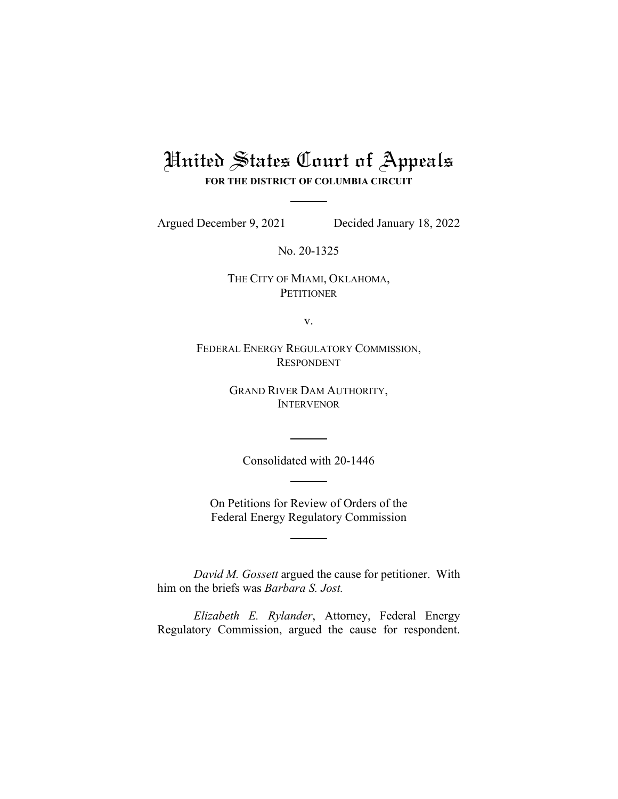## United States Court of Appeals

**FOR THE DISTRICT OF COLUMBIA CIRCUIT**

Argued December 9, 2021 Decided January 18, 2022

No. 20-1325

THE CITY OF MIAMI, OKLAHOMA, **PETITIONER** 

v.

FEDERAL ENERGY REGULATORY COMMISSION, RESPONDENT

> GRAND RIVER DAM AUTHORITY, INTERVENOR

Consolidated with 20-1446

On Petitions for Review of Orders of the Federal Energy Regulatory Commission

*David M. Gossett* argued the cause for petitioner. With him on the briefs was *Barbara S. Jost.*

*Elizabeth E. Rylander*, Attorney, Federal Energy Regulatory Commission, argued the cause for respondent.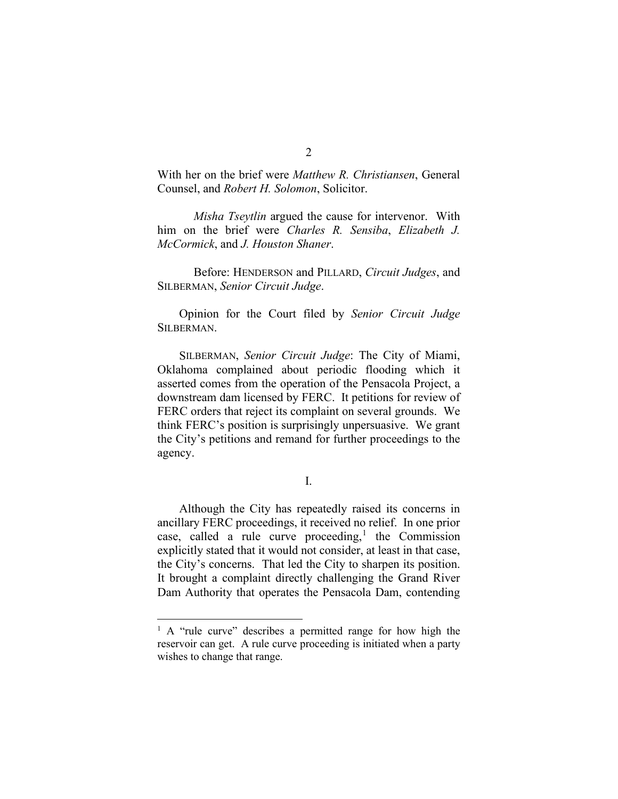With her on the brief were *Matthew R. Christiansen*, General Counsel, and *Robert H. Solomon*, Solicitor.

*Misha Tseytlin* argued the cause for intervenor. With him on the brief were *Charles R. Sensiba*, *Elizabeth J. McCormick*, and *J. Houston Shaner*.

Before: HENDERSON and PILLARD, *Circuit Judges*, and SILBERMAN, *Senior Circuit Judge*.

Opinion for the Court filed by *Senior Circuit Judge* SILBERMAN.

SILBERMAN, *Senior Circuit Judge*: The City of Miami, Oklahoma complained about periodic flooding which it asserted comes from the operation of the Pensacola Project, a downstream dam licensed by FERC. It petitions for review of FERC orders that reject its complaint on several grounds. We think FERC's position is surprisingly unpersuasive. We grant the City's petitions and remand for further proceedings to the agency.

I.

Although the City has repeatedly raised its concerns in ancillary FERC proceedings, it received no relief. In one prior case, called a rule curve proceeding, [1](#page-1-0) the Commission explicitly stated that it would not consider, at least in that case, the City's concerns. That led the City to sharpen its position. It brought a complaint directly challenging the Grand River Dam Authority that operates the Pensacola Dam, contending

<span id="page-1-0"></span><sup>&</sup>lt;sup>1</sup> A "rule curve" describes a permitted range for how high the reservoir can get. A rule curve proceeding is initiated when a party wishes to change that range.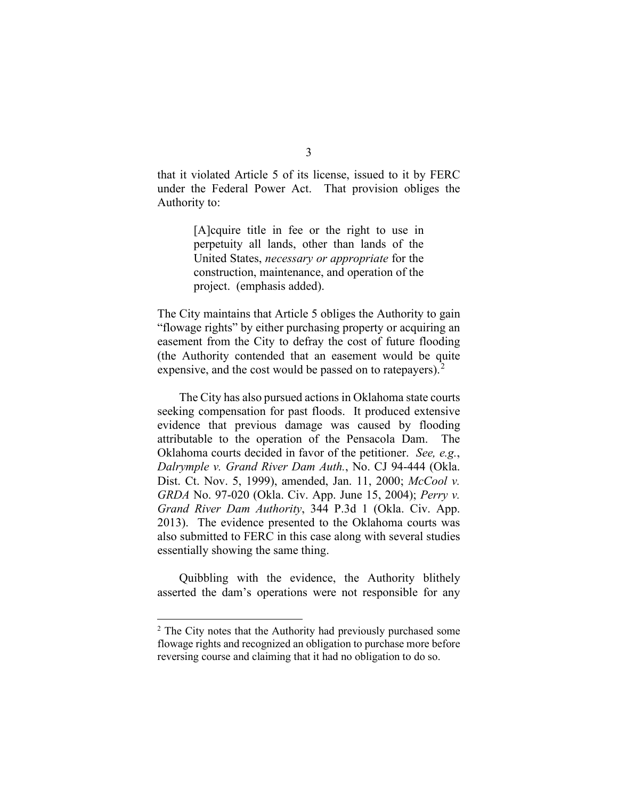that it violated Article 5 of its license, issued to it by FERC under the Federal Power Act. That provision obliges the Authority to:

> [A]cquire title in fee or the right to use in perpetuity all lands, other than lands of the United States, *necessary or appropriate* for the construction, maintenance, and operation of the project. (emphasis added).

The City maintains that Article 5 obliges the Authority to gain "flowage rights" by either purchasing property or acquiring an easement from the City to defray the cost of future flooding (the Authority contended that an easement would be quite expensive, and the cost would be passed on to ratepayers). $2$ 

The City has also pursued actions in Oklahoma state courts seeking compensation for past floods. It produced extensive evidence that previous damage was caused by flooding attributable to the operation of the Pensacola Dam. The Oklahoma courts decided in favor of the petitioner. *See, e.g.*, *Dalrymple v. Grand River Dam Auth.*, No. CJ 94-444 (Okla. Dist. Ct. Nov. 5, 1999), amended, Jan. 11, 2000; *McCool v. GRDA* No. 97-020 (Okla. Civ. App. June 15, 2004); *Perry v. Grand River Dam Authority*, 344 P.3d 1 (Okla. Civ. App. 2013). The evidence presented to the Oklahoma courts was also submitted to FERC in this case along with several studies essentially showing the same thing.

Quibbling with the evidence, the Authority blithely asserted the dam's operations were not responsible for any

<span id="page-2-0"></span><sup>2</sup> The City notes that the Authority had previously purchased some flowage rights and recognized an obligation to purchase more before reversing course and claiming that it had no obligation to do so.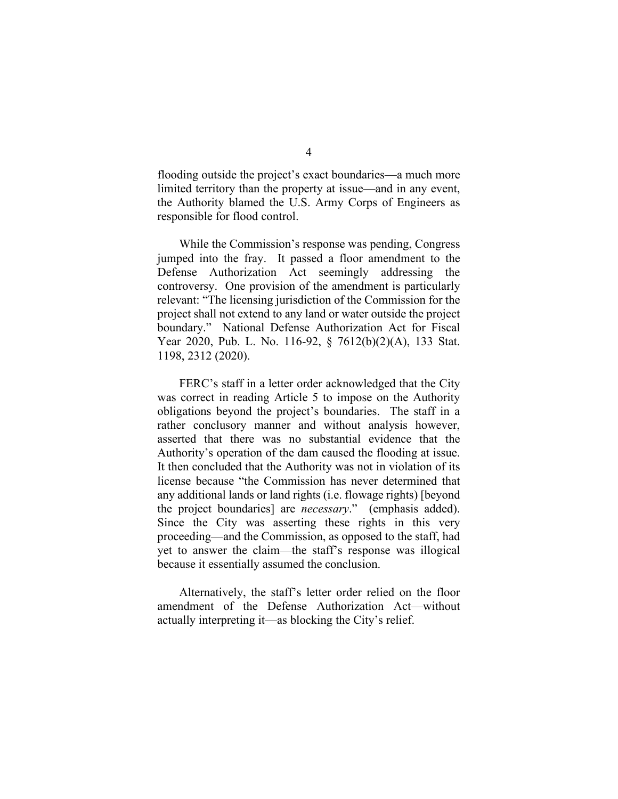flooding outside the project's exact boundaries—a much more limited territory than the property at issue—and in any event, the Authority blamed the U.S. Army Corps of Engineers as responsible for flood control.

While the Commission's response was pending, Congress jumped into the fray. It passed a floor amendment to the Defense Authorization Act seemingly addressing the controversy. One provision of the amendment is particularly relevant: "The licensing jurisdiction of the Commission for the project shall not extend to any land or water outside the project boundary." National Defense Authorization Act for Fiscal Year 2020, Pub. L. No. 116-92, § 7612(b)(2)(A), 133 Stat. 1198, 2312 (2020).

FERC's staff in a letter order acknowledged that the City was correct in reading Article 5 to impose on the Authority obligations beyond the project's boundaries. The staff in a rather conclusory manner and without analysis however, asserted that there was no substantial evidence that the Authority's operation of the dam caused the flooding at issue. It then concluded that the Authority was not in violation of its license because "the Commission has never determined that any additional lands or land rights (i.e. flowage rights) [beyond the project boundaries] are *necessary*." (emphasis added). Since the City was asserting these rights in this very proceeding—and the Commission, as opposed to the staff, had yet to answer the claim—the staff's response was illogical because it essentially assumed the conclusion.

Alternatively, the staff's letter order relied on the floor amendment of the Defense Authorization Act—without actually interpreting it—as blocking the City's relief.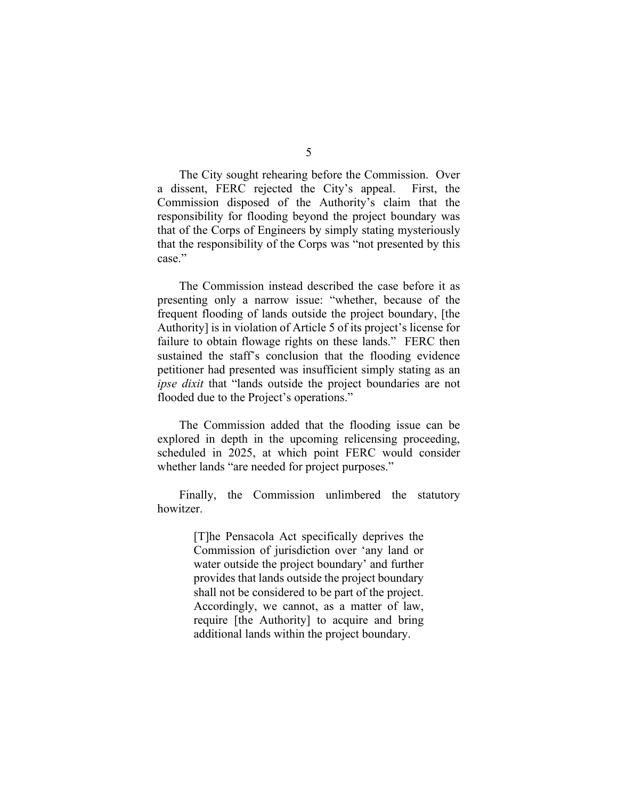The City sought rehearing before the Commission. Over a dissent, FERC rejected the City's appeal. First, the Commission disposed of the Authority's claim that the responsibility for flooding beyond the project boundary was that of the Corps of Engineers by simply stating mysteriously that the responsibility of the Corps was "not presented by this case."

The Commission instead described the case before it as presenting only a narrow issue: "whether, because of the frequent flooding of lands outside the project boundary, [the Authority] is in violation of Article 5 of its project's license for failure to obtain flowage rights on these lands." FERC then sustained the staff's conclusion that the flooding evidence petitioner had presented was insufficient simply stating as an *ipse dixit* that "lands outside the project boundaries are not flooded due to the Project's operations."

The Commission added that the flooding issue can be explored in depth in the upcoming relicensing proceeding, scheduled in 2025, at which point FERC would consider whether lands "are needed for project purposes."

Finally, the Commission unlimbered the statutory howitzer.

> [T]he Pensacola Act specifically deprives the Commission of jurisdiction over 'any land or water outside the project boundary' and further provides that lands outside the project boundary shall not be considered to be part of the project. Accordingly, we cannot, as a matter of law, require [the Authority] to acquire and bring additional lands within the project boundary.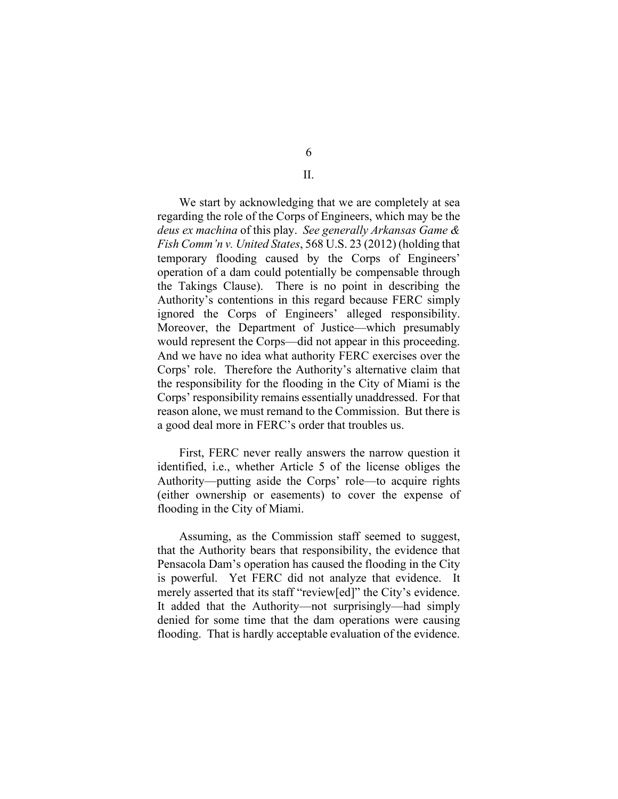6

II.

We start by acknowledging that we are completely at sea regarding the role of the Corps of Engineers, which may be the *deus ex machina* of this play. *See generally Arkansas Game & Fish Comm'n v. United States*, 568 U.S. 23 (2012) (holding that temporary flooding caused by the Corps of Engineers' operation of a dam could potentially be compensable through the Takings Clause). There is no point in describing the Authority's contentions in this regard because FERC simply ignored the Corps of Engineers' alleged responsibility. Moreover, the Department of Justice—which presumably would represent the Corps—did not appear in this proceeding. And we have no idea what authority FERC exercises over the Corps' role. Therefore the Authority's alternative claim that the responsibility for the flooding in the City of Miami is the Corps' responsibility remains essentially unaddressed. For that reason alone, we must remand to the Commission. But there is a good deal more in FERC's order that troubles us.

First, FERC never really answers the narrow question it identified, i.e., whether Article 5 of the license obliges the Authority—putting aside the Corps' role—to acquire rights (either ownership or easements) to cover the expense of flooding in the City of Miami.

Assuming, as the Commission staff seemed to suggest, that the Authority bears that responsibility, the evidence that Pensacola Dam's operation has caused the flooding in the City is powerful. Yet FERC did not analyze that evidence. It merely asserted that its staff "review[ed]" the City's evidence. It added that the Authority—not surprisingly—had simply denied for some time that the dam operations were causing flooding. That is hardly acceptable evaluation of the evidence.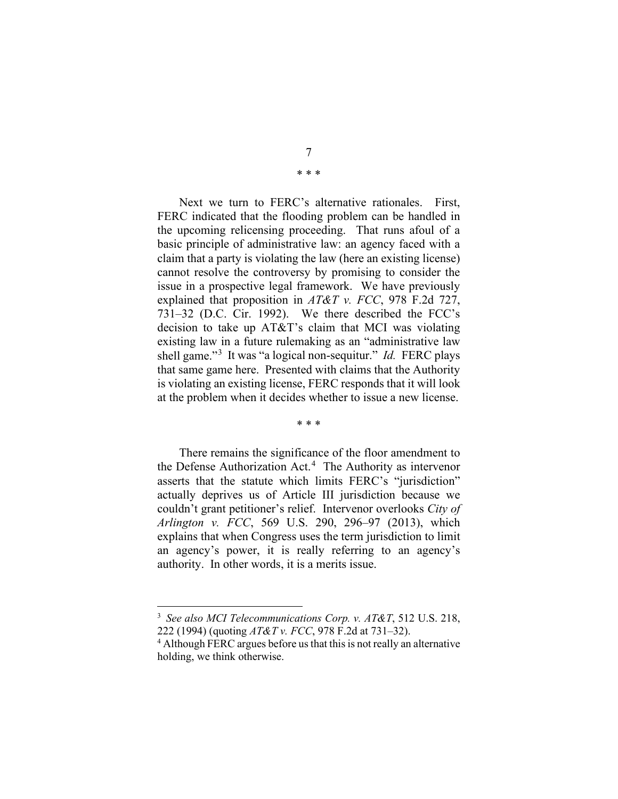7

\* \* \*

Next we turn to FERC's alternative rationales. First, FERC indicated that the flooding problem can be handled in the upcoming relicensing proceeding. That runs afoul of a basic principle of administrative law: an agency faced with a claim that a party is violating the law (here an existing license) cannot resolve the controversy by promising to consider the issue in a prospective legal framework. We have previously explained that proposition in *AT&T v. FCC*, 978 F.2d 727, 731–32 (D.C. Cir. 1992). We there described the FCC's decision to take up AT&T's claim that MCI was violating existing law in a future rulemaking as an "administrative law shell game."[3](#page-6-0) It was "a logical non-sequitur." *Id.* FERC plays that same game here. Presented with claims that the Authority is violating an existing license, FERC responds that it will look at the problem when it decides whether to issue a new license.

\* \* \*

There remains the significance of the floor amendment to the Defense Authorization Act.<sup>[4](#page-6-1)</sup> The Authority as intervenor asserts that the statute which limits FERC's "jurisdiction" actually deprives us of Article III jurisdiction because we couldn't grant petitioner's relief. Intervenor overlooks *City of Arlington v. FCC*, 569 U.S. 290, 296–97 (2013), which explains that when Congress uses the term jurisdiction to limit an agency's power, it is really referring to an agency's authority. In other words, it is a merits issue.

<span id="page-6-0"></span><sup>3</sup> *See also MCI Telecommunications Corp. v. AT&T*, 512 U.S. 218, 222 (1994) (quoting *AT&T v. FCC*, 978 F.2d at 731–32).

<span id="page-6-1"></span><sup>&</sup>lt;sup>4</sup> Although FERC argues before us that this is not really an alternative holding, we think otherwise.